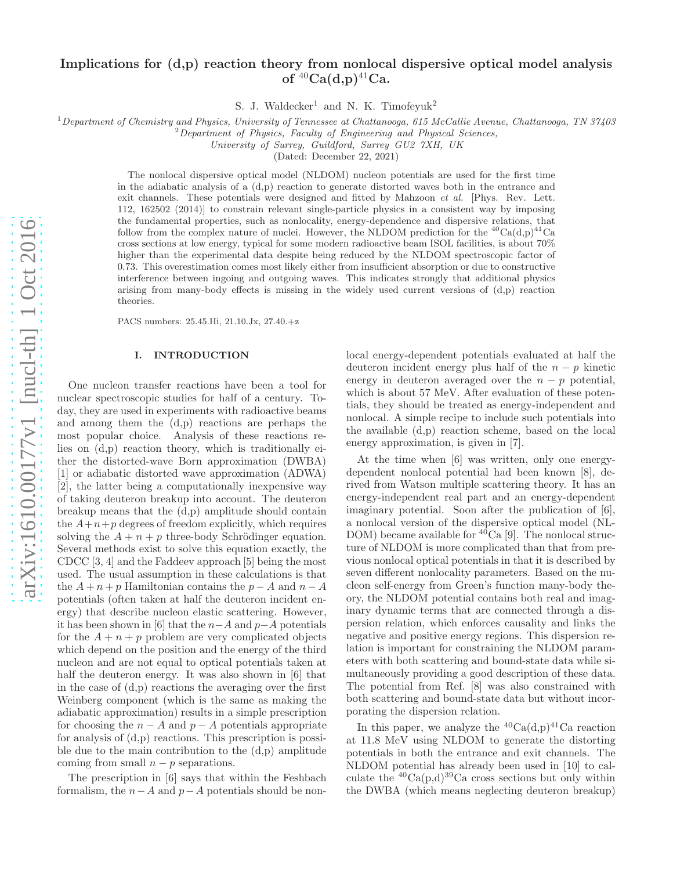# Implications for (d,p) reaction theory from nonlocal dispersive optical model analysis of  ${}^{40}Ca(d,p){}^{41}Ca$ .

S. J. Waldecker<sup>1</sup> and N. K. Timofeyuk<sup>2</sup>

 $1$ Department of Chemistry and Physics, University of Tennessee at Chattanooga, 615 McCallie Avenue, Chattanooga, TN 37403

 $2$ Department of Physics, Faculty of Engineering and Physical Sciences,

University of Surrey, Guildford, Surrey GU2 7XH, UK

(Dated: December 22, 2021)

The nonlocal dispersive optical model (NLDOM) nucleon potentials are used for the first time in the adiabatic analysis of a  $(d,p)$  reaction to generate distorted waves both in the entrance and exit channels. These potentials were designed and fitted by Mahzoon et al. [Phys. Rev. Lett. 112, 162502 (2014)] to constrain relevant single-particle physics in a consistent way by imposing the fundamental properties, such as nonlocality, energy-dependence and dispersive relations, that follow from the complex nature of nuclei. However, the NLDOM prediction for the <sup>40</sup>Ca(d,p)<sup>41</sup>Ca cross sections at low energy, typical for some modern radioactive beam ISOL facilities, is about 70% higher than the experimental data despite being reduced by the NLDOM spectroscopic factor of 0.73. This overestimation comes most likely either from insufficient absorption or due to constructive interference between ingoing and outgoing waves. This indicates strongly that additional physics arising from many-body effects is missing in the widely used current versions of (d,p) reaction theories.

PACS numbers: 25.45.Hi, 21.10.Jx, 27.40.+z

#### I. INTRODUCTION

One nucleon transfer reactions have been a tool for nuclear spectroscopic studies for half of a century. Today, they are used in experiments with radioactive beams and among them the (d,p) reactions are perhaps the most popular choice. Analysis of these reactions relies on (d,p) reaction theory, which is traditionally either the distorted-wave Born approximation (DWBA) [1] or adiabatic distorted wave approximation (ADWA) [2], the latter being a computationally inexpensive way of taking deuteron breakup into account. The deuteron breakup means that the (d,p) amplitude should contain the  $A+n+p$  degrees of freedom explicitly, which requires solving the  $A + n + p$  three-body Schrödinger equation. Several methods exist to solve this equation exactly, the CDCC [3, 4] and the Faddeev approach [5] being the most used. The usual assumption in these calculations is that the  $A + n + p$  Hamiltonian contains the  $p - A$  and  $n - A$ potentials (often taken at half the deuteron incident energy) that describe nucleon elastic scattering. However, it has been shown in [6] that the  $n-A$  and  $p-A$  potentials for the  $A + n + p$  problem are very complicated objects which depend on the position and the energy of the third nucleon and are not equal to optical potentials taken at half the deuteron energy. It was also shown in [6] that in the case of (d,p) reactions the averaging over the first Weinberg component (which is the same as making the adiabatic approximation) results in a simple prescription for choosing the  $n - A$  and  $p - A$  potentials appropriate for analysis of (d,p) reactions. This prescription is possible due to the main contribution to the (d,p) amplitude coming from small  $n - p$  separations.

The prescription in [6] says that within the Feshbach formalism, the  $n-A$  and  $p-A$  potentials should be nonlocal energy-dependent potentials evaluated at half the deuteron incident energy plus half of the  $n - p$  kinetic energy in deuteron averaged over the  $n - p$  potential, which is about 57 MeV. After evaluation of these potentials, they should be treated as energy-independent and nonlocal. A simple recipe to include such potentials into the available (d,p) reaction scheme, based on the local energy approximation, is given in [7].

At the time when [6] was written, only one energydependent nonlocal potential had been known [8], derived from Watson multiple scattering theory. It has an energy-independent real part and an energy-dependent imaginary potential. Soon after the publication of [6], a nonlocal version of the dispersive optical model (NL-DOM) became available for  ${}^{40}Ca$  [9]. The nonlocal structure of NLDOM is more complicated than that from previous nonlocal optical potentials in that it is described by seven different nonlocality parameters. Based on the nucleon self-energy from Green's function many-body theory, the NLDOM potential contains both real and imaginary dynamic terms that are connected through a dispersion relation, which enforces causality and links the negative and positive energy regions. This dispersion relation is important for constraining the NLDOM parameters with both scattering and bound-state data while simultaneously providing a good description of these data. The potential from Ref. [8] was also constrained with both scattering and bound-state data but without incorporating the dispersion relation.

In this paper, we analyze the  ${}^{40}Ca(d,p){}^{41}Ca$  reaction at 11.8 MeV using NLDOM to generate the distorting potentials in both the entrance and exit channels. The NLDOM potential has already been used in [10] to calculate the  ${}^{40}Ca(p,d)$ <sup>39</sup>Ca cross sections but only within the DWBA (which means neglecting deuteron breakup)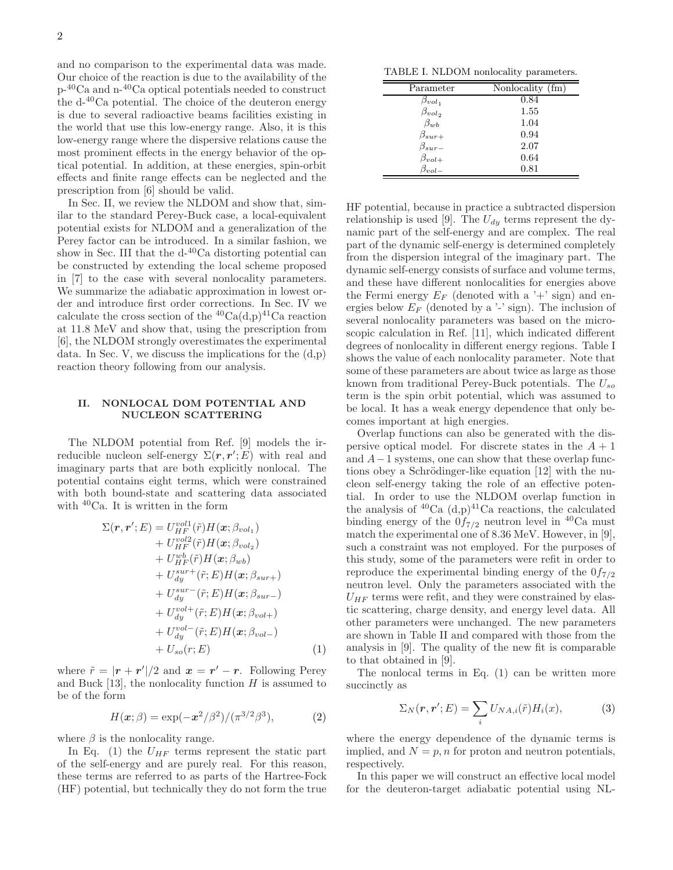and no comparison to the experimental data was made. Our choice of the reaction is due to the availability of the  $\rm p^{-40}Ca$  and  $\rm n^{-40}Ca$  optical potentials needed to construct the  $d^{-40}$ Ca potential. The choice of the deuteron energy is due to several radioactive beams facilities existing in the world that use this low-energy range. Also, it is this low-energy range where the dispersive relations cause the most prominent effects in the energy behavior of the optical potential. In addition, at these energies, spin-orbit effects and finite range effects can be neglected and the prescription from [6] should be valid.

In Sec. II, we review the NLDOM and show that, similar to the standard Perey-Buck case, a local-equivalent potential exists for NLDOM and a generalization of the Perey factor can be introduced. In a similar fashion, we show in Sec. III that the  $d^{-40}Ca$  distorting potential can be constructed by extending the local scheme proposed in [7] to the case with several nonlocality parameters. We summarize the adiabatic approximation in lowest order and introduce first order corrections. In Sec. IV we calculate the cross section of the  ${}^{40}Ca(d,p){}^{41}Ca$  reaction at 11.8 MeV and show that, using the prescription from [6], the NLDOM strongly overestimates the experimental data. In Sec. V, we discuss the implications for the  $(d,p)$ reaction theory following from our analysis.

### II. NONLOCAL DOM POTENTIAL AND NUCLEON SCATTERING

The NLDOM potential from Ref. [9] models the irreducible nucleon self-energy  $\Sigma(r, r'; E)$  with real and imaginary parts that are both explicitly nonlocal. The potential contains eight terms, which were constrained with both bound-state and scattering data associated with <sup>40</sup>Ca. It is written in the form

$$
\Sigma(\mathbf{r}, \mathbf{r}'; E) = U_{HF}^{vol1}(\tilde{r}) H(\mathbf{x}; \beta_{vol1}) \n+ U_{HF}^{vol2}(\tilde{r}) H(\mathbf{x}; \beta_{vol2}) \n+ U_{HF}^{ub}(\tilde{r}) H(\mathbf{x}; \beta_{wb}) \n+ U_{dy}^{sur+}(\tilde{r}; E) H(\mathbf{x}; \beta_{sur+}) \n+ U_{dy}^{sur-}(\tilde{r}; E) H(\mathbf{x}; \beta_{sur-}) \n+ U_{dy}^{vol+}(\tilde{r}; E) H(\mathbf{x}; \beta_{vol+}) \n+ U_{dy}^{vol-}(\tilde{r}; E) H(\mathbf{x}; \beta_{vol-}) \n+ U_{so}(r; E)
$$
\n(1)

where  $\tilde{r} = |\mathbf{r} + \mathbf{r}'|/2$  and  $\mathbf{x} = \mathbf{r}' - \mathbf{r}$ . Following Perey and Buck [13], the nonlocality function  $H$  is assumed to be of the form

$$
H(x; \beta) = \exp(-x^2/\beta^2) / (\pi^{3/2} \beta^3), \tag{2}
$$

where  $\beta$  is the nonlocality range.

In Eq. (1) the  $U_{HF}$  terms represent the static part of the self-energy and are purely real. For this reason, these terms are referred to as parts of the Hartree-Fock (HF) potential, but technically they do not form the true

TABLE I. NLDOM nonlocality parameters.

| Parameter       | Nonlocality (fm) |
|-----------------|------------------|
| $\beta_{vol_1}$ | 0.84             |
| $\beta_{vol_2}$ | 1.55             |
| $\beta_{wb}$    | 1.04             |
| $\beta_{sur+}$  | 0.94             |
| $\beta_{sur-}$  | 2.07             |
| $\beta_{vol+}$  | 0.64             |
| $\beta_{vol}$   | 0.81             |

HF potential, because in practice a subtracted dispersion relationship is used [9]. The  $U_{dy}$  terms represent the dynamic part of the self-energy and are complex. The real part of the dynamic self-energy is determined completely from the dispersion integral of the imaginary part. The dynamic self-energy consists of surface and volume terms, and these have different nonlocalities for energies above the Fermi energy  $E_F$  (denoted with a '+' sign) and energies below  $E_F$  (denoted by a '-' sign). The inclusion of several nonlocality parameters was based on the microscopic calculation in Ref. [11], which indicated different degrees of nonlocality in different energy regions. Table I shows the value of each nonlocality parameter. Note that some of these parameters are about twice as large as those known from traditional Perey-Buck potentials. The  $U_{so}$ term is the spin orbit potential, which was assumed to be local. It has a weak energy dependence that only becomes important at high energies.

Overlap functions can also be generated with the dispersive optical model. For discrete states in the  $A + 1$ and  $A-1$  systems, one can show that these overlap functions obey a Schrödinger-like equation  $[12]$  with the nucleon self-energy taking the role of an effective potential. In order to use the NLDOM overlap function in the analysis of  ${}^{40}Ca$  (d,p) ${}^{41}Ca$  reactions, the calculated binding energy of the  $0f_{7/2}$  neutron level in <sup>40</sup>Ca must match the experimental one of 8.36 MeV. However, in [9], such a constraint was not employed. For the purposes of this study, some of the parameters were refit in order to reproduce the experimental binding energy of the  $0f_{7/2}$ neutron level. Only the parameters associated with the  $U_{HF}$  terms were refit, and they were constrained by elastic scattering, charge density, and energy level data. All other parameters were unchanged. The new parameters are shown in Table II and compared with those from the analysis in [9]. The quality of the new fit is comparable to that obtained in [9].

The nonlocal terms in Eq. (1) can be written more succinctly as

$$
\Sigma_N(\mathbf{r}, \mathbf{r}'; E) = \sum_i U_{NA, i}(\tilde{r}) H_i(x), \tag{3}
$$

where the energy dependence of the dynamic terms is implied, and  $N = p, n$  for proton and neutron potentials, respectively.

In this paper we will construct an effective local model for the deuteron-target adiabatic potential using NL-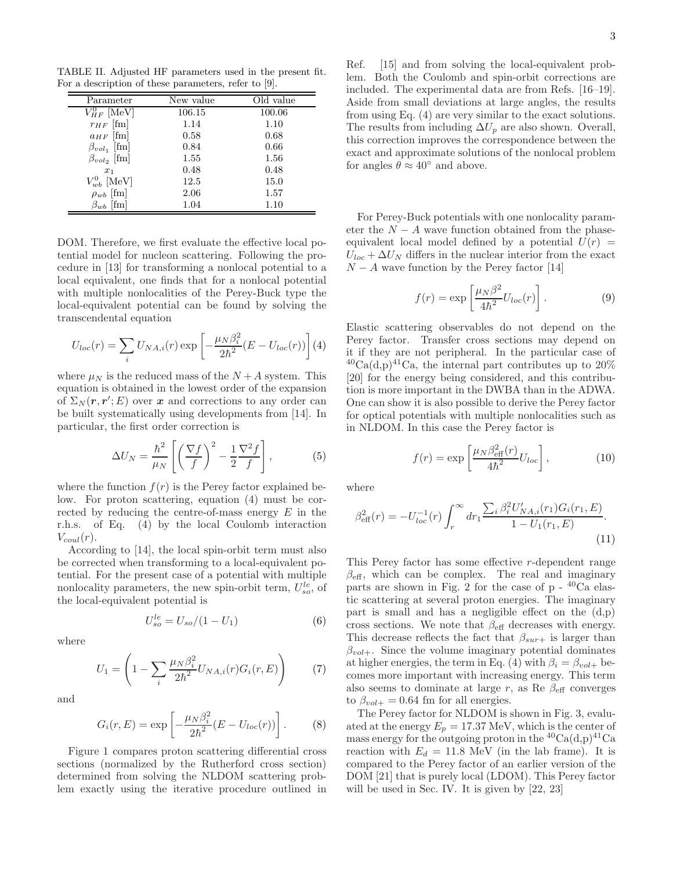TABLE II. Adjusted HF parameters used in the present fit. For a description of these parameters, refer to [9].

| Parameter            | New value | Old value |
|----------------------|-----------|-----------|
| $V_{HF}^{0}$ [MeV]   | 106.15    | 100.06    |
| $r_{HF}$ [fm]        | 1.14      | 1.10      |
| $a_{HF}$ [fm]        | 0.58      | 0.68      |
| $\beta_{vol_1}$ [fm] | 0.84      | 0.66      |
| $\beta_{vol_2}$ [fm] | 1.55      | 1.56      |
| $x_1$                | 0.48      | 0.48      |
| $V_{wb}^{0}$ [MeV]   | 12.5      | 15.0      |
| $\rho_{wb}$ [fm]     | 2.06      | 1.57      |
| [fm]<br>$\beta_{wb}$ | 1.04      | 1.10      |

DOM. Therefore, we first evaluate the effective local potential model for nucleon scattering. Following the procedure in [13] for transforming a nonlocal potential to a local equivalent, one finds that for a nonlocal potential with multiple nonlocalities of the Perey-Buck type the local-equivalent potential can be found by solving the transcendental equation

$$
U_{loc}(r) = \sum_{i} U_{NA,i}(r) \exp \left[ -\frac{\mu_N \beta_i^2}{2\hbar^2} (E - U_{loc}(r)) \right] (4)
$$

where  $\mu_N$  is the reduced mass of the  $N+A$  system. This equation is obtained in the lowest order of the expansion of  $\Sigma_N(\mathbf{r}, \mathbf{r}'; E)$  over x and corrections to any order can be built systematically using developments from [14]. In particular, the first order correction is

$$
\Delta U_N = \frac{\hbar^2}{\mu_N} \left[ \left( \frac{\nabla f}{f} \right)^2 - \frac{1}{2} \frac{\nabla^2 f}{f} \right],\tag{5}
$$

where the function  $f(r)$  is the Perey factor explained below. For proton scattering, equation (4) must be corrected by reducing the centre-of-mass energy  $E$  in the r.h.s. of Eq. (4) by the local Coulomb interaction  $V_{coul}(r)$ .

According to [14], the local spin-orbit term must also be corrected when transforming to a local-equivalent potential. For the present case of a potential with multiple nonlocality parameters, the new spin-orbit term,  $U_{so}^{le}$ , of the local-equivalent potential is

$$
U_{so}^{le} = U_{so}/(1 - U_1)
$$
 (6)

where

$$
U_1 = \left(1 - \sum_{i} \frac{\mu_N \beta_i^2}{2\hbar^2} U_{NA,i}(r) G_i(r, E)\right) \tag{7}
$$

and

$$
G_i(r, E) = \exp\left[-\frac{\mu_N \beta_i^2}{2\hbar^2} (E - U_{loc}(r))\right].
$$
 (8)

Figure 1 compares proton scattering differential cross sections (normalized by the Rutherford cross section) determined from solving the NLDOM scattering problem exactly using the iterative procedure outlined in Ref. [15] and from solving the local-equivalent problem. Both the Coulomb and spin-orbit corrections are included. The experimental data are from Refs. [16–19]. Aside from small deviations at large angles, the results from using Eq. (4) are very similar to the exact solutions. The results from including  $\Delta U_p$  are also shown. Overall, this correction improves the correspondence between the exact and approximate solutions of the nonlocal problem for angles  $\theta \approx 40^{\circ}$  and above.

For Perey-Buck potentials with one nonlocality parameter the  $N - A$  wave function obtained from the phaseequivalent local model defined by a potential  $U(r)$  =  $U_{loc} + \Delta U_N$  differs in the nuclear interior from the exact  $N - A$  wave function by the Perey factor [14]

$$
f(r) = \exp\left[\frac{\mu_N \beta^2}{4\hbar^2} U_{loc}(r)\right].
$$
 (9)

Elastic scattering observables do not depend on the Perey factor. Transfer cross sections may depend on it if they are not peripheral. In the particular case of  $^{40}Ca(d,p)^{41}Ca$ , the internal part contributes up to  $20\%$ [20] for the energy being considered, and this contribution is more important in the DWBA than in the ADWA. One can show it is also possible to derive the Perey factor for optical potentials with multiple nonlocalities such as in NLDOM. In this case the Perey factor is

$$
f(r) = \exp\left[\frac{\mu_N \beta_{\text{eff}}^2(r)}{4\hbar^2} U_{loc}\right],\tag{10}
$$

where

$$
\beta_{\text{eff}}^2(r) = -U_{loc}^{-1}(r) \int_r^{\infty} dr_1 \frac{\sum_i \beta_i^2 U'_{NA,i}(r_1) G_i(r_1, E)}{1 - U_1(r_1, E)}.
$$
\n(11)

This Perey factor has some effective r-dependent range  $\beta_{\text{eff}}$ , which can be complex. The real and imaginary parts are shown in Fig. 2 for the case of  $p - {}^{40}Ca$  elastic scattering at several proton energies. The imaginary part is small and has a negligible effect on the  $(d,p)$ cross sections. We note that  $\beta_{\text{eff}}$  decreases with energy. This decrease reflects the fact that  $\beta_{sur+}$  is larger than  $\beta_{vol+}$ . Since the volume imaginary potential dominates at higher energies, the term in Eq. (4) with  $\beta_i = \beta_{vol+}$  becomes more important with increasing energy. This term also seems to dominate at large r, as Re  $\beta_{\text{eff}}$  converges to  $\beta_{vol+} = 0.64$  fm for all energies.

The Perey factor for NLDOM is shown in Fig. 3, evaluated at the energy  $E_p = 17.37 \text{ MeV}$ , which is the center of mass energy for the outgoing proton in the  ${}^{40}Ca(d,p){}^{41}Ca$ reaction with  $E_d = 11.8 \text{ MeV}$  (in the lab frame). It is compared to the Perey factor of an earlier version of the DOM [21] that is purely local (LDOM). This Perey factor will be used in Sec. IV. It is given by [22, 23]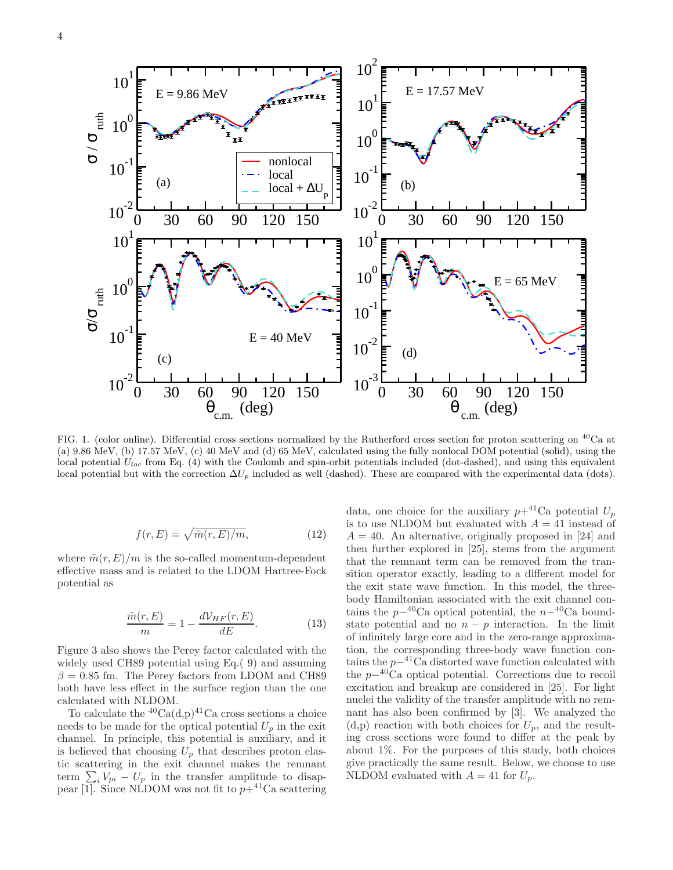

FIG. 1. (color online). Differential cross sections normalized by the Rutherford cross section for proton scattering on <sup>40</sup>Ca at (a) 9.86 MeV, (b) 17.57 MeV, (c) 40 MeV and (d) 65 MeV, calculated using the fully nonlocal DOM potential (solid), using the local potential  $U_{loc}$  from Eq. (4) with the Coulomb and spin-orbit potentials included (dot-dashed), and using this equivalent local potential but with the correction  $\Delta U_p$  included as well (dashed). These are compared with the experimental data (dots).

$$
f(r, E) = \sqrt{\tilde{m}(r, E)/m},
$$
\n(12)

where  $\tilde{m}(r, E)/m$  is the so-called momentum-dependent effective mass and is related to the LDOM Hartree-Fock potential as

$$
\frac{\tilde{m}(r, E)}{m} = 1 - \frac{dV_{HF}(r, E)}{dE}.
$$
\n(13)

Figure 3 also shows the Perey factor calculated with the widely used CH89 potential using Eq.( 9) and assuming  $\beta = 0.85$  fm. The Perey factors from LDOM and CH89 both have less effect in the surface region than the one calculated with NLDOM.

To calculate the  ${}^{40}Ca(d,p){}^{41}Ca$  cross sections a choice needs to be made for the optical potential  $U_p$  in the exit channel. In principle, this potential is auxiliary, and it is believed that choosing  $U_p$  that describes proton elastic scattering in the exit channel makes the remnant term  $\sum_{i} i V_{pi} - U_{p}$  in the transfer amplitude to disappear  $\overline{1}$ . Since NLDOM was not fit to  $p+^{41}$ Ca scattering data, one choice for the auxiliary  $p+^{41}$ Ca potential  $U_p$ is to use NLDOM but evaluated with  $A = 41$  instead of  $A = 40$ . An alternative, originally proposed in [24] and then further explored in [25], stems from the argument that the remnant term can be removed from the transition operator exactly, leading to a different model for the exit state wave function. In this model, the threebody Hamiltonian associated with the exit channel contains the  $p-40$ Ca optical potential, the  $n-40$ Ca boundstate potential and no  $n - p$  interaction. In the limit of infinitely large core and in the zero-range approximation, the corresponding three-body wave function contains the  $p-4$ <sup>1</sup>Ca distorted wave function calculated with the  $p-40\text{Ca}$  optical potential. Corrections due to recoil excitation and breakup are considered in [25]. For light nuclei the validity of the transfer amplitude with no remnant has also been confirmed by [3]. We analyzed the  $(d,p)$  reaction with both choices for  $U_p$ , and the resulting cross sections were found to differ at the peak by about 1%. For the purposes of this study, both choices give practically the same result. Below, we choose to use NLDOM evaluated with  $A = 41$  for  $U_p$ .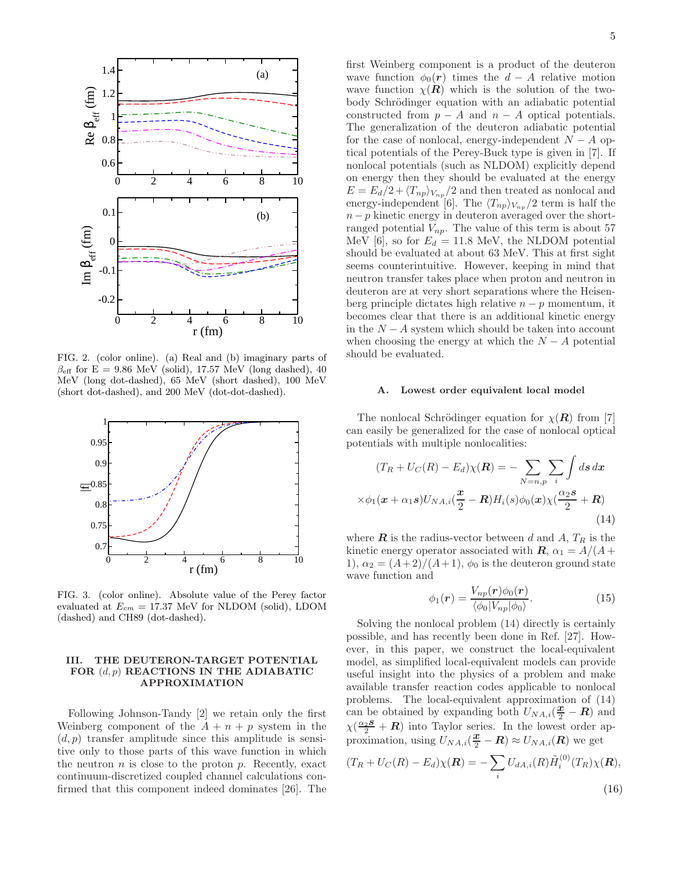

FIG. 2. (color online). (a) Real and (b) imaginary parts of  $\beta_{\text{eff}}$  for E = 9.86 MeV (solid), 17.57 MeV (long dashed), 40 MeV (long dot-dashed), 65 MeV (short dashed), 100 MeV (short dot-dashed), and 200 MeV (dot-dot-dashed).



FIG. 3. (color online). Absolute value of the Perey factor evaluated at  $E_{cm} = 17.37$  MeV for NLDOM (solid), LDOM (dashed) and CH89 (dot-dashed).

# III. THE DEUTERON-TARGET POTENTIAL FOR  $(d, p)$  REACTIONS IN THE ADIABATIC APPROXIMATION

Following Johnson-Tandy [2] we retain only the first Weinberg component of the  $A + n + p$  system in the  $(d, p)$  transfer amplitude since this amplitude is sensitive only to those parts of this wave function in which the neutron  $n$  is close to the proton  $p$ . Recently, exact continuum-discretized coupled channel calculations confirmed that this component indeed dominates [26]. The first Weinberg component is a product of the deuteron wave function  $\phi_0(\mathbf{r})$  times the  $d - A$  relative motion wave function  $\chi(R)$  which is the solution of the twobody Schrödinger equation with an adiabatic potential constructed from  $p - A$  and  $n - A$  optical potentials. The generalization of the deuteron adiabatic potential for the case of nonlocal, energy-independent  $N - A$  optical potentials of the Perey-Buck type is given in [7]. If nonlocal potentials (such as NLDOM) explicitly depend on energy then they should be evaluated at the energy  $E = E_d/2 + \langle T_{np} \rangle_{V_{np}}/2$  and then treated as nonlocal and energy-independent [6]. The  $\langle T_{np} \rangle_{V_{np}}/2$  term is half the  $n - p$  kinetic energy in deuteron averaged over the shortranged potential  $V_{np}$ . The value of this term is about 57 MeV [6], so for  $E_d = 11.8$  MeV, the NLDOM potential should be evaluated at about 63 MeV. This at first sight seems counterintuitive. However, keeping in mind that neutron transfer takes place when proton and neutron in deuteron are at very short separations where the Heisenberg principle dictates high relative  $n - p$  momentum, it becomes clear that there is an additional kinetic energy in the  $N - A$  system which should be taken into account when choosing the energy at which the  $N - A$  potential should be evaluated.

#### A. Lowest order equivalent local model

The nonlocal Schrödinger equation for  $\chi(R)$  from [7] can easily be generalized for the case of nonlocal optical potentials with multiple nonlocalities:

$$
(T_R + U_C(R) - E_d)\chi(\mathbf{R}) = -\sum_{N=n,p} \sum_i \int ds \, dx
$$

$$
\times \phi_1(\mathbf{x} + \alpha_1 \mathbf{s}) U_{NA,i}(\frac{\mathbf{x}}{2} - \mathbf{R}) H_i(s) \phi_0(\mathbf{x}) \chi(\frac{\alpha_2 \mathbf{s}}{2} + \mathbf{R})
$$
(14)

where  $\boldsymbol{R}$  is the radius-vector between d and A,  $T_R$  is the kinetic energy operator associated with  $\mathbf{R}$ ,  $\alpha_1 = A/(A +$ 1),  $\alpha_2 = (A+2)/(A+1)$ ,  $\phi_0$  is the deuteron ground state wave function and

$$
\phi_1(\mathbf{r}) = \frac{V_{np}(\mathbf{r})\phi_0(\mathbf{r})}{\langle \phi_0 | V_{np} | \phi_0 \rangle}.
$$
\n(15)

Solving the nonlocal problem (14) directly is certainly possible, and has recently been done in Ref. [27]. However, in this paper, we construct the local-equivalent model, as simplified local-equivalent models can provide useful insight into the physics of a problem and make available transfer reaction codes applicable to nonlocal problems. The local-equivalent approximation of (14) problems. The local-equivalent approximation of  $(14)$ <br>can be obtained by expanding both  $U_{NA,i}(\frac{x}{2} - R)$  and  $\chi(\frac{\alpha_2 s}{2} + R)$  into Taylor series. In the lowest order approximation, using  $U_{NA,i}(\frac{\mathbf{x}}{2} - \mathbf{R}) \approx U_{NA,i}(\mathbf{R})$  we get

$$
(T_R + U_C(R) - E_d)\chi(\mathbf{R}) = -\sum_i U_{dA,i}(R)\tilde{H}_i^{(0)}(T_R)\chi(\mathbf{R}),
$$
\n(16)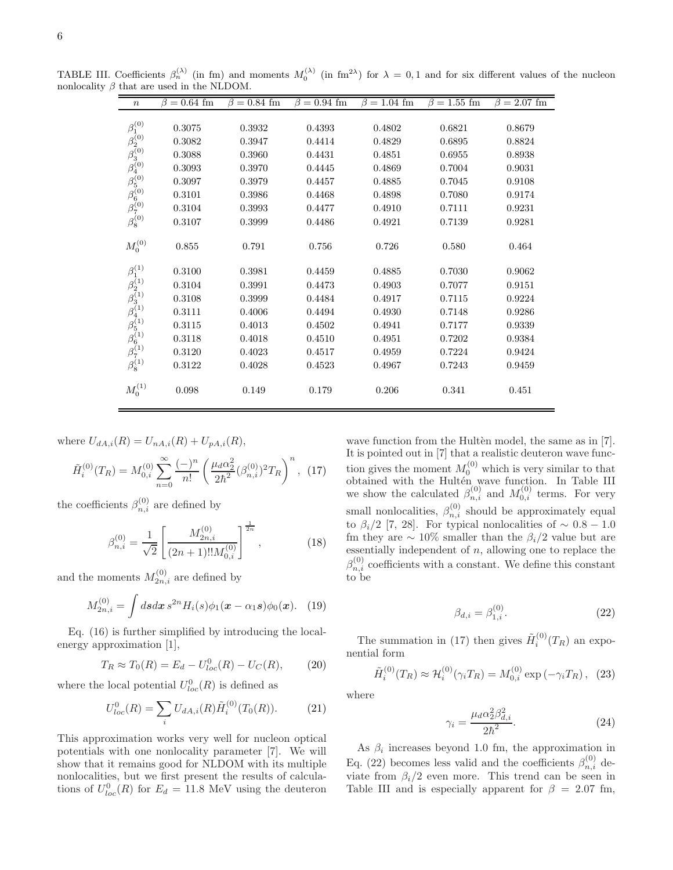| $\boldsymbol{n}$                                                                                                                                                    | $\beta = 0.64$ fm | $\beta = 0.84$ fm | $\beta = 0.94$ fm | $\beta = 1.04$ fm | $\beta = 1.55$ fm | $\beta = 2.07$ fm |
|---------------------------------------------------------------------------------------------------------------------------------------------------------------------|-------------------|-------------------|-------------------|-------------------|-------------------|-------------------|
|                                                                                                                                                                     |                   |                   |                   |                   |                   |                   |
| $\beta_1^{(0)}$                                                                                                                                                     | 0.3075            | 0.3932            | 0.4393            | 0.4802            | 0.6821            | 0.8679            |
|                                                                                                                                                                     | 0.3082            | 0.3947            | 0.4414            | 0.4829            | 0.6895            | 0.8824            |
|                                                                                                                                                                     | 0.3088            | 0.3960            | 0.4431            | 0.4851            | 0.6955            | 0.8938            |
|                                                                                                                                                                     | 0.3093            | 0.3970            | 0.4445            | 0.4869            | 0.7004            | 0.9031            |
|                                                                                                                                                                     | 0.3097            | 0.3979            | 0.4457            | 0.4885            | 0.7045            | 0.9108            |
|                                                                                                                                                                     | 0.3101            | 0.3986            | 0.4468            | 0.4898            | 0.7080            | 0.9174            |
| $\beta_2^{(0)}$<br>$\beta_3^{(0)}$<br>$\beta_4^{(0)}$<br>$\beta_5^{(0)}$<br>$\beta_6^{(0)}$<br>$\beta_7^{(0)}$                                                      | 0.3104            | 0.3993            | 0.4477            | 0.4910            | 0.7111            | 0.9231            |
|                                                                                                                                                                     | 0.3107            | 0.3999            | 0.4486            | 0.4921            | 0.7139            | 0.9281            |
|                                                                                                                                                                     |                   |                   |                   |                   |                   |                   |
| $M_0^{(0)}$                                                                                                                                                         | 0.855             | 0.791             | 0.756             | 0.726             | 0.580             | 0.464             |
|                                                                                                                                                                     | 0.3100            | 0.3981            | 0.4459            | 0.4885            | 0.7030            | 0.9062            |
|                                                                                                                                                                     | 0.3104            | 0.3991            | 0.4473            | 0.4903            | 0.7077            | 0.9151            |
|                                                                                                                                                                     | 0.3108            | 0.3999            | 0.4484            | 0.4917            | 0.7115            | 0.9224            |
|                                                                                                                                                                     | 0.3111            | 0.4006            | 0.4494            | 0.4930            | 0.7148            | 0.9286            |
|                                                                                                                                                                     | 0.3115            | 0.4013            | 0.4502            | 0.4941            | 0.7177            | 0.9339            |
|                                                                                                                                                                     | 0.3118            | 0.4018            | 0.4510            | 0.4951            | 0.7202            | 0.9384            |
|                                                                                                                                                                     | 0.3120            | 0.4023            | 0.4517            | 0.4959            | 0.7224            | 0.9424            |
| $\begin{array}{c} \beta_1^{(1)} \\ \beta_2^{(1)} \\ \beta_3^{(1)} \\ \beta_4^{(1)} \\ \beta_5^{(1)} \\ \beta_6^{(1)} \\ \beta_7^{(1)} \\ \beta_8^{(1)} \end{array}$ | 0.3122            | 0.4028            | 0.4523            | 0.4967            | 0.7243            | 0.9459            |
| $M_0^{(1)}$                                                                                                                                                         | 0.098             | 0.149             | 0.179             | 0.206             | 0.341             | 0.451             |

TABLE III. Coefficients  $\beta_n^{(\lambda)}$  (in fm) and moments  $M_0^{(\lambda)}$  (in fm<sup>2λ</sup>) for  $\lambda = 0,1$  and for six different values of the nucleon nonlocality  $\beta$  that are used in the NLDOM.

where  $U_{dA,i}(R) = U_{nA,i}(R) + U_{pA,i}(R),$ 

$$
\tilde{H}_i^{(0)}(T_R) = M_{0,i}^{(0)} \sum_{n=0}^{\infty} \frac{(-)^n}{n!} \left( \frac{\mu_d \alpha_2^2}{2\hbar^2} (\beta_{n,i}^{(0)})^2 T_R \right)^n, (17)
$$

the coefficients  $\beta_{n,i}^{(0)}$  are defined by

$$
\beta_{n,i}^{(0)} = \frac{1}{\sqrt{2}} \left[ \frac{M_{2n,i}^{(0)}}{(2n+1)!! M_{0,i}^{(0)}} \right]^{\frac{1}{2n}}, \tag{18}
$$

and the moments  $M_{2n,i}^{(0)}$  are defined by

$$
M_{2n,i}^{(0)} = \int ds dx \, s^{2n} H_i(s) \phi_1(\mathbf{x} - \alpha_1 \mathbf{s}) \phi_0(\mathbf{x}). \tag{19}
$$

Eq. (16) is further simplified by introducing the localenergy approximation [1],

$$
T_R \approx T_0(R) = E_d - U_{loc}^0(R) - U_C(R), \qquad (20)
$$

where the local potential  $U_{loc}^0(R)$  is defined as

$$
U_{loc}^{0}(R) = \sum_{i} U_{dA,i}(R)\tilde{H}_{i}^{(0)}(T_{0}(R)).
$$
 (21)

This approximation works very well for nucleon optical potentials with one nonlocality parameter [7]. We will show that it remains good for NLDOM with its multiple nonlocalities, but we first present the results of calculations of  $U_{loc}^0(R)$  for  $E_d = 11.8$  MeV using the deuteron wave function from the Hultèn model, the same as in [7]. It is pointed out in [7] that a realistic deuteron wave function gives the moment  $M_0^{(0)}$  which is very similar to that obtained with the Hultén wave function. In Table III we show the calculated  $\beta_{n,i}^{(0)}$  and  $M_{0,i}^{(0)}$  terms. For very small nonlocalities,  $\beta_{n,i}^{(0)}$  should be approximately equal to  $\beta_i/2$  [7, 28]. For typical nonlocalities of  $\sim 0.8 - 1.0$ fm they are  $\sim 10\%$  smaller than the  $\beta_i/2$  value but are essentially independent of  $n$ , allowing one to replace the  $\beta_{n,i}^{(0)}$  coefficients with a constant. We define this constant to be

$$
\beta_{d,i} = \beta_{1,i}^{(0)}.\tag{22}
$$

The summation in (17) then gives  $\tilde{H}_i^{(0)}(T_R)$  an exponential form

$$
\tilde{H}_i^{(0)}(T_R) \approx \mathcal{H}_i^{(0)}(\gamma_i T_R) = M_{0,i}^{(0)} \exp\left(-\gamma_i T_R\right), \tag{23}
$$

where

$$
\gamma_i = \frac{\mu_d \alpha_2^2 \beta_{d,i}^2}{2\hbar^2}.
$$
\n(24)

As  $\beta_i$  increases beyond 1.0 fm, the approximation in Eq. (22) becomes less valid and the coefficients  $\beta_{n,i}^{(0)}$  deviate from  $\beta_i/2$  even more. This trend can be seen in Table III and is especially apparent for  $\beta = 2.07$  fm,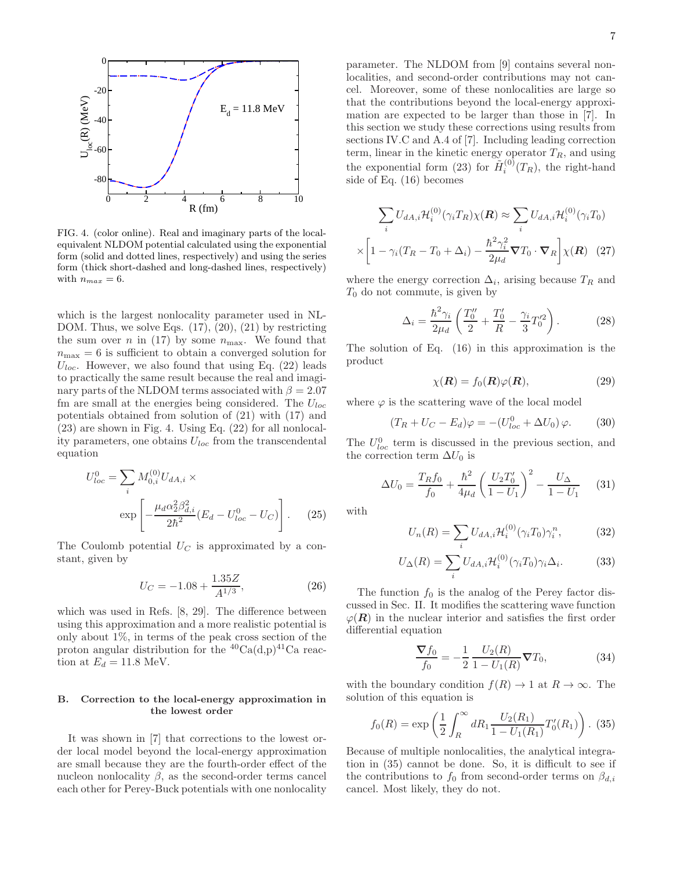

FIG. 4. (color online). Real and imaginary parts of the localequivalent NLDOM potential calculated using the exponential form (solid and dotted lines, respectively) and using the series form (thick short-dashed and long-dashed lines, respectively) with  $n_{max} = 6$ .

which is the largest nonlocality parameter used in NL-DOM. Thus, we solve Eqs.  $(17)$ ,  $(20)$ ,  $(21)$  by restricting the sum over n in (17) by some  $n_{\text{max}}$ . We found that  $n_{\text{max}} = 6$  is sufficient to obtain a converged solution for  $U_{loc}$ . However, we also found that using Eq. (22) leads to practically the same result because the real and imaginary parts of the NLDOM terms associated with  $\beta = 2.07$ fm are small at the energies being considered. The  $U_{loc}$ potentials obtained from solution of (21) with (17) and (23) are shown in Fig. 4. Using Eq. (22) for all nonlocality parameters, one obtains  $U_{loc}$  from the transcendental equation

$$
U_{loc}^{0} = \sum_{i} M_{0,i}^{(0)} U_{dA,i} \times \exp\left[ -\frac{\mu_d \alpha_2^2 \beta_{d,i}^2}{2\hbar^2} (E_d - U_{loc}^0 - U_C) \right].
$$
 (25)

The Coulomb potential  $U_C$  is approximated by a constant, given by

$$
U_C = -1.08 + \frac{1.35Z}{A^{1/3}},\tag{26}
$$

which was used in Refs. [8, 29]. The difference between using this approximation and a more realistic potential is only about  $1\%$ , in terms of the peak cross section of the proton angular distribution for the  ${}^{40}Ca(d,p){}^{41}Ca$  reaction at  $E_d = 11.8$  MeV.

# B. Correction to the local-energy approximation in the lowest order

It was shown in [7] that corrections to the lowest order local model beyond the local-energy approximation are small because they are the fourth-order effect of the nucleon nonlocality  $\beta$ , as the second-order terms cancel each other for Perey-Buck potentials with one nonlocality parameter. The NLDOM from [9] contains several nonlocalities, and second-order contributions may not cancel. Moreover, some of these nonlocalities are large so that the contributions beyond the local-energy approximation are expected to be larger than those in [7]. In this section we study these corrections using results from sections IV.C and A.4 of [7]. Including leading correction term, linear in the kinetic energy operator  $T_R$ , and using the exponential form (23) for  $\tilde{H}_i^{(0)}$  $i^{(0)}(T_R)$ , the right-hand side of Eq. (16) becomes

$$
\sum_{i} U_{dA,i} \mathcal{H}_{i}^{(0)}(\gamma_{i} T_{R}) \chi(\mathbf{R}) \approx \sum_{i} U_{dA,i} \mathcal{H}_{i}^{(0)}(\gamma_{i} T_{0})
$$

$$
\times \left[1 - \gamma_{i} (T_{R} - T_{0} + \Delta_{i}) - \frac{\hbar^{2} \gamma_{i}^{2}}{2\mu_{d}} \nabla T_{0} \cdot \nabla_{R}\right] \chi(\mathbf{R}) \quad (27)
$$

where the energy correction  $\Delta_i$ , arising because  $T_R$  and  $T_0$  do not commute, is given by

$$
\Delta_i = \frac{\hbar^2 \gamma_i}{2\mu_d} \left( \frac{T_0''}{2} + \frac{T_0'}{R} - \frac{\gamma_i}{3} T_0'^2 \right). \tag{28}
$$

The solution of Eq. (16) in this approximation is the product

$$
\chi(\mathbf{R}) = f_0(\mathbf{R})\varphi(\mathbf{R}),\tag{29}
$$

where  $\varphi$  is the scattering wave of the local model

$$
(T_R + U_C - E_d)\varphi = -(U_{loc}^0 + \Delta U_0)\varphi.
$$
 (30)

The  $U_{loc}^0$  term is discussed in the previous section, and the correction term  $\Delta U_0$  is

$$
\Delta U_0 = \frac{T_R f_0}{f_0} + \frac{\hbar^2}{4\mu_d} \left(\frac{U_2 T_0'}{1 - U_1}\right)^2 - \frac{U_\Delta}{1 - U_1} \tag{31}
$$

with

$$
U_n(R) = \sum_i U_{dA,i} \mathcal{H}_i^{(0)}(\gamma_i T_0) \gamma_i^n, \qquad (32)
$$

$$
U_{\Delta}(R) = \sum_{i} U_{dA,i} \mathcal{H}_i^{(0)}(\gamma_i T_0) \gamma_i \Delta_i.
$$
 (33)

The function  $f_0$  is the analog of the Perey factor discussed in Sec. II. It modifies the scattering wave function  $\varphi(R)$  in the nuclear interior and satisfies the first order differential equation

$$
\frac{\nabla f_0}{f_0} = -\frac{1}{2} \frac{U_2(R)}{1 - U_1(R)} \nabla T_0,
$$
\n(34)

with the boundary condition  $f(R) \to 1$  at  $R \to \infty$ . The solution of this equation is

$$
f_0(R) = \exp\left(\frac{1}{2} \int_R^{\infty} dR_1 \frac{U_2(R_1)}{1 - U_1(R_1)} T'_0(R_1)\right).
$$
 (35)

Because of multiple nonlocalities, the analytical integration in (35) cannot be done. So, it is difficult to see if the contributions to  $f_0$  from second-order terms on  $\beta_{d,i}$ cancel. Most likely, they do not.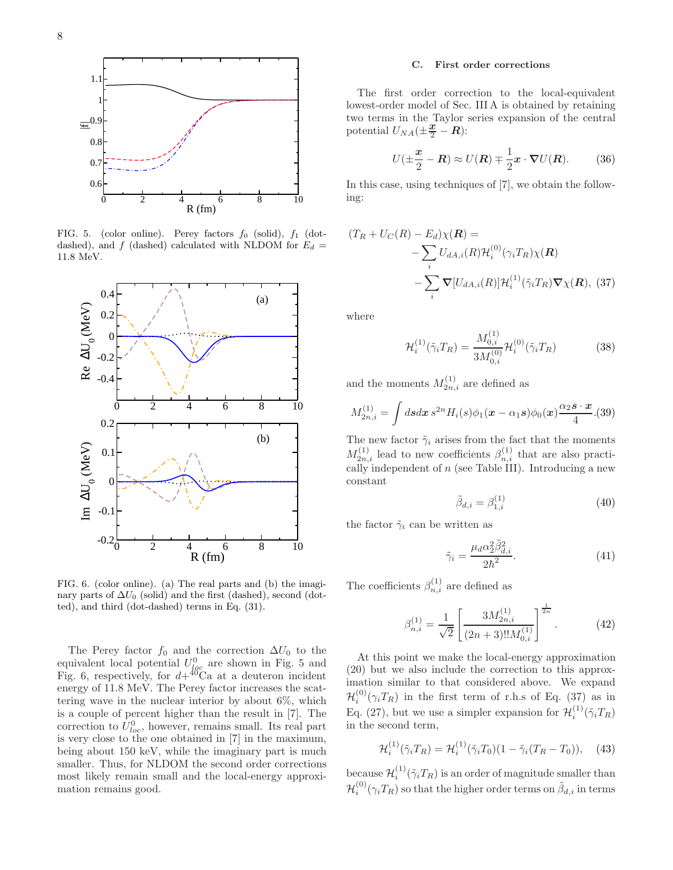

FIG. 5. (color online). Perey factors  $f_0$  (solid),  $f_1$  (dotdashed), and f (dashed) calculated with NLDOM for  $E_d =$ 11.8 MeV.



FIG. 6. (color online). (a) The real parts and (b) the imaginary parts of  $\Delta U_0$  (solid) and the first (dashed), second (dotted), and third (dot-dashed) terms in Eq. (31).

The Perey factor  $f_0$  and the correction  $\Delta U_0$  to the equivalent local potential  $U_{loc}^0$  are shown in Fig. 5 and Fig. 6, respectively, for  $d + {}^{40}\text{Ca}$  at a deuteron incident energy of 11.8 MeV. The Perey factor increases the scattering wave in the nuclear interior by about 6%, which is a couple of percent higher than the result in [7]. The correction to  $U_{loc}^0$ , however, remains small. Its real part is very close to the one obtained in [7] in the maximum, being about 150 keV, while the imaginary part is much smaller. Thus, for NLDOM the second order corrections most likely remain small and the local-energy approximation remains good.

#### C. First order corrections

The first order correction to the local-equivalent lowest-order model of Sec. III A is obtained by retaining two terms in the Taylor series expansion of the central potential  $U_{NA}(\pm \frac{x}{2} - R)$ :

$$
U(\pm \frac{x}{2} - \mathbf{R}) \approx U(\mathbf{R}) \mp \frac{1}{2}\mathbf{x} \cdot \nabla U(\mathbf{R}).
$$
 (36)

In this case, using techniques of [7], we obtain the following:

$$
(T_R + U_C(R) - E_d)\chi(\mathbf{R}) =
$$
  
- 
$$
\sum_i U_{dA,i}(R) \mathcal{H}_i^{(0)}(\gamma_i T_R) \chi(\mathbf{R})
$$
  
- 
$$
\sum_i \nabla [U_{dA,i}(R)] \mathcal{H}_i^{(1)}(\tilde{\gamma}_i T_R) \nabla \chi(\mathbf{R}),
$$
 (37)

where

$$
\mathcal{H}_i^{(1)}(\tilde{\gamma}_i T_R) = \frac{M_{0,i}^{(1)}}{3M_{0,i}^{(0)}} \mathcal{H}_i^{(0)}(\tilde{\gamma}_i T_R)
$$
(38)

and the moments  $M_{2n,i}^{(1)}$  are defined as

$$
M_{2n,i}^{(1)} = \int ds dx \, s^{2n} H_i(s) \phi_1(\mathbf{x} - \alpha_1 s) \phi_0(\mathbf{x}) \frac{\alpha_2 \mathbf{s} \cdot \mathbf{x}}{4} . (39)
$$

The new factor  $\tilde{\gamma}_i$  arises from the fact that the moments  $M_{2n,i}^{(1)}$  lead to new coefficients  $\beta_{n,i}^{(1)}$  that are also practically independent of  $n$  (see Table III). Introducing a new constant

$$
\tilde{\beta}_{d,i} = \beta_{1,i}^{(1)} \tag{40}
$$

the factor  $\tilde{\gamma}_i$  can be written as

$$
\tilde{\gamma}_i = \frac{\mu_d \alpha_2^2 \tilde{\beta}_{d,i}^2}{2\hbar^2}.
$$
\n(41)

The coefficients  $\beta_{n,i}^{(1)}$  are defined as

$$
\beta_{n,i}^{(1)} = \frac{1}{\sqrt{2}} \left[ \frac{3M_{2n,i}^{(1)}}{(2n+3)!!M_{0,i}^{(1)}} \right]^{\frac{1}{2n}}.
$$
 (42)

At this point we make the local-energy approximation (20) but we also include the correction to this approximation similar to that considered above. We expand  $\mathcal{H}_i^{(0)}(\gamma_i T_R)$  in the first term of r.h.s of Eq. (37) as in Eq. (27), but we use a simpler expansion for  $\mathcal{H}_i^{(1)}(\tilde{\gamma}_i T_R)$ in the second term,

$$
\mathcal{H}_i^{(1)}(\tilde{\gamma}_i T_R) = \mathcal{H}_i^{(1)}(\tilde{\gamma}_i T_0)(1 - \tilde{\gamma}_i (T_R - T_0)), \quad (43)
$$

because  $\mathcal{H}_i^{(1)}(\tilde{\gamma}_i T_R)$  is an order of magnitude smaller than  $\mathcal{H}_i^{(0)}(\gamma_i T_R)$  so that the higher order terms on  $\tilde{\beta}_{d,i}$  in terms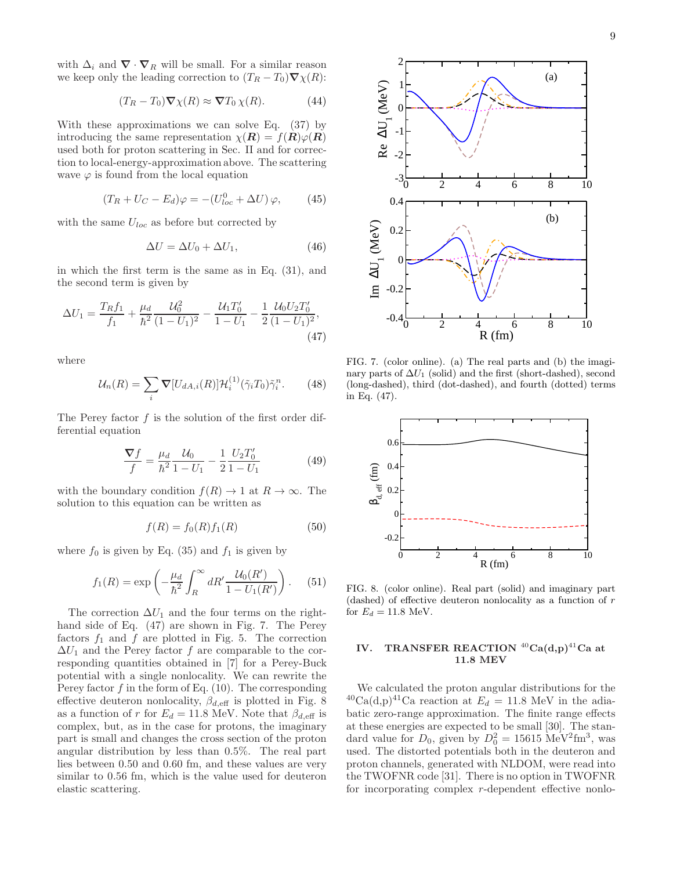with  $\Delta_i$  and  $\nabla \cdot \nabla_R$  will be small. For a similar reason we keep only the leading correction to  $(T_R - T_0) \nabla \chi(R)$ :

$$
(T_R - T_0)\nabla \chi(R) \approx \nabla T_0 \chi(R). \tag{44}
$$

With these approximations we can solve Eq. (37) by introducing the same representation  $\chi(\mathbf{R}) = f(\mathbf{R})\varphi(\mathbf{R})$ used both for proton scattering in Sec. II and for correction to local-energy-approximation above. The scattering wave  $\varphi$  is found from the local equation

$$
(T_R + U_C - E_d)\varphi = -(U_{loc}^0 + \Delta U)\varphi, \qquad (45)
$$

with the same  $U_{loc}$  as before but corrected by

$$
\Delta U = \Delta U_0 + \Delta U_1,\tag{46}
$$

in which the first term is the same as in Eq. (31), and the second term is given by

$$
\Delta U_1 = \frac{T_R f_1}{f_1} + \frac{\mu_d}{\hbar^2} \frac{\mathcal{U}_0^2}{(1 - U_1)^2} - \frac{\mathcal{U}_1 T_0'}{1 - U_1} - \frac{1}{2} \frac{\mathcal{U}_0 U_2 T_0'}{(1 - U_1)^2},\tag{47}
$$

where

$$
\mathcal{U}_n(R) = \sum_i \nabla [U_{dA,i}(R)] \mathcal{H}_i^{(1)}(\tilde{\gamma}_i T_0) \tilde{\gamma}_i^n. \tag{48}
$$

The Perey factor  $f$  is the solution of the first order differential equation

$$
\frac{\nabla f}{f} = \frac{\mu_d}{\hbar^2} \frac{\mathcal{U}_0}{1 - U_1} - \frac{1}{2} \frac{U_2 T_0'}{1 - U_1}
$$
(49)

with the boundary condition  $f(R) \to 1$  at  $R \to \infty$ . The solution to this equation can be written as

$$
f(R) = f_0(R) f_1(R)
$$
 (50)

where  $f_0$  is given by Eq. (35) and  $f_1$  is given by

$$
f_1(R) = \exp\left(-\frac{\mu_d}{\hbar^2} \int_R^{\infty} dR' \frac{\mathcal{U}_0(R')}{1 - U_1(R')}\right).
$$
 (51)

The correction  $\Delta U_1$  and the four terms on the righthand side of Eq. (47) are shown in Fig. 7. The Perey factors  $f_1$  and  $f$  are plotted in Fig. 5. The correction  $\Delta U_1$  and the Perey factor f are comparable to the corresponding quantities obtained in [7] for a Perey-Buck potential with a single nonlocality. We can rewrite the Perey factor  $f$  in the form of Eq. (10). The corresponding effective deuteron nonlocality,  $\beta_{d,\text{eff}}$  is plotted in Fig. 8 as a function of r for  $E_d = 11.8$  MeV. Note that  $\beta_{d,\text{eff}}$  is complex, but, as in the case for protons, the imaginary part is small and changes the cross section of the proton angular distribution by less than 0.5%. The real part lies between 0.50 and 0.60 fm, and these values are very similar to 0.56 fm, which is the value used for deuteron elastic scattering.



FIG. 7. (color online). (a) The real parts and (b) the imaginary parts of  $\Delta U_1$  (solid) and the first (short-dashed), second (long-dashed), third (dot-dashed), and fourth (dotted) terms in Eq. (47).



FIG. 8. (color online). Real part (solid) and imaginary part (dashed) of effective deuteron nonlocality as a function of r for  $E_d = 11.8$  MeV.

# IV. TRANSFER REACTION  $^{40}Ca(d,p)^{41}Ca$  at 11.8 MEV

We calculated the proton angular distributions for the  $^{40}Ca(d,p)^{41}Ca$  reaction at  $E_d = 11.8$  MeV in the adiabatic zero-range approximation. The finite range effects at these energies are expected to be small [30]. The standard value for  $D_0$ , given by  $D_0^2 = 15615 \text{ MeV}^2 \text{fm}^3$ , was used. The distorted potentials both in the deuteron and proton channels, generated with NLDOM, were read into the TWOFNR code [31]. There is no option in TWOFNR for incorporating complex r-dependent effective nonlo-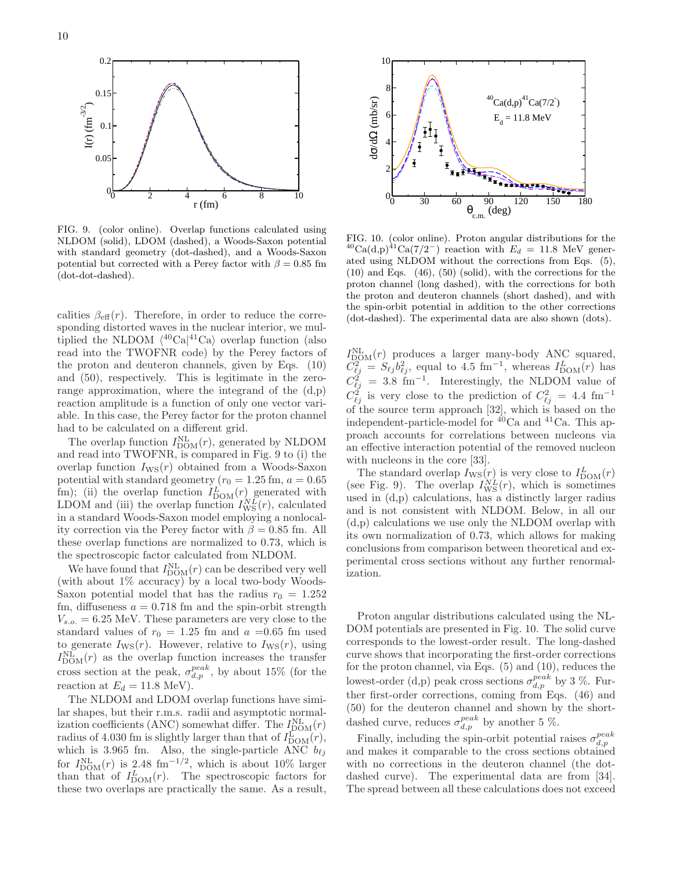

FIG. 9. (color online). Overlap functions calculated using NLDOM (solid), LDOM (dashed), a Woods-Saxon potential with standard geometry (dot-dashed), and a Woods-Saxon potential but corrected with a Perey factor with  $\beta = 0.85$  fm (dot-dot-dashed).

calities  $\beta_{\text{eff}}(r)$ . Therefore, in order to reduce the corresponding distorted waves in the nuclear interior, we multiplied the NLDOM  $\langle {}^{40}\text{Ca} | {}^{41}\text{Ca} \rangle$  overlap function (also read into the TWOFNR code) by the Perey factors of the proton and deuteron channels, given by Eqs. (10) and (50), respectively. This is legitimate in the zerorange approximation, where the integrand of the (d,p) reaction amplitude is a function of only one vector variable. In this case, the Perey factor for the proton channel had to be calculated on a different grid.

The overlap function  $I_{\text{DOM}}^{\text{NL}}(r)$ , generated by NLDOM and read into TWOFNR, is compared in Fig. 9 to (i) the overlap function  $I_{\text{WS}}(r)$  obtained from a Woods-Saxon potential with standard geometry ( $r_0 = 1.25$  fm,  $a = 0.65$ ) fm); (ii) the overlap function  $I_{\text{DOM}}^L(r)$  generated with LDOM and (iii) the overlap function  $I_{\text{WS}}^{NL}(r)$ , calculated in a standard Woods-Saxon model employing a nonlocality correction via the Perey factor with  $\beta = 0.85$  fm. All these overlap functions are normalized to 0.73, which is the spectroscopic factor calculated from NLDOM.

We have found that  $I_{\text{DOM}}^{\text{NL}}(r)$  can be described very well (with about 1% accuracy) by a local two-body Woods-Saxon potential model that has the radius  $r_0 = 1.252$ fm, diffuseness  $a = 0.718$  fm and the spin-orbit strength  $V_{s.o.} = 6.25$  MeV. These parameters are very close to the standard values of  $r_0 = 1.25$  fm and  $a = 0.65$  fm used to generate  $I_{\text{WS}}(r)$ . However, relative to  $I_{\text{WS}}(r)$ , using  $I_{\text{DOM}}^{\text{NL}}(r)$  as the overlap function increases the transfer cross section at the peak,  $\sigma_{d,p}^{peak}$ , by about 15% (for the reaction at  $E_d = 11.8 \text{ MeV}$ .

The NLDOM and LDOM overlap functions have similar shapes, but their r.m.s. radii and asymptotic normalization coefficients (ANC) somewhat differ. The  $I_{\text{DOM}}^{\text{NL}}(r)$ radius of 4.030 fm is slightly larger than that of  $I_{\text{DOM}}^{\text{L}}(r)$ , which is 3.965 fm. Also, the single-particle ANC  $b_{\ell j}$ for  $I_{\text{DOM}}^{\text{NL}}(r)$  is 2.48 fm<sup>-1/2</sup>, which is about 10% larger than that of  $I_{\text{DOM}}^L(r)$ . The spectroscopic factors for these two overlaps are practically the same. As a result,



FIG. 10. (color online). Proton angular distributions for the  $^{40}Ca(d,p)^{41}Ca(7/2^-)$  reaction with  $E_d = 11.8$  MeV generated using NLDOM without the corrections from Eqs. (5), (10) and Eqs. (46), (50) (solid), with the corrections for the proton channel (long dashed), with the corrections for both the proton and deuteron channels (short dashed), and with the spin-orbit potential in addition to the other corrections (dot-dashed). The experimental data are also shown (dots).

 $I_{\text{DOM}}^{\text{NL}}(r)$  produces a larger many-body ANC squared,  $\hat{C}_{\ell j}^2 = S_{\ell j} b_{\ell j}^2$ , equal to 4.5 fm<sup>-1</sup>, whereas  $I_{\text{DOM}}^L(r)$  has  $C_{\ell j}^2 = 3.8 \text{ fm}^{-1}$ . Interestingly, the NLDOM value of  $C_{\ell j}^2$  is very close to the prediction of  $C_{\ell j}^2 = 4.4$  fm<sup>-1</sup> of the source term approach [32], which is based on the independent-particle-model for  $\frac{40}{10}$ Ca and  $\frac{41}{10}$ Ca. This approach accounts for correlations between nucleons via an effective interaction potential of the removed nucleon with nucleons in the core [33].

The standard overlap  $I_{\text{WS}}(r)$  is very close to  $I_{\text{DOM}}^L(r)$ (see Fig. 9). The overlap  $I_{\text{WS}}^{NL}(r)$ , which is sometimes used in (d,p) calculations, has a distinctly larger radius and is not consistent with NLDOM. Below, in all our (d,p) calculations we use only the NLDOM overlap with its own normalization of 0.73, which allows for making conclusions from comparison between theoretical and experimental cross sections without any further renormalization.

Proton angular distributions calculated using the NL-DOM potentials are presented in Fig. 10. The solid curve corresponds to the lowest-order result. The long-dashed curve shows that incorporating the first-order corrections for the proton channel, via Eqs. (5) and (10), reduces the lowest-order (d,p) peak cross sections  $\sigma_{d,p}^{peak}$  by 3 %. Further first-order corrections, coming from Eqs. (46) and (50) for the deuteron channel and shown by the shortdashed curve, reduces  $\sigma_{d,p}^{peak}$  by another 5 %.

Finally, including the spin-orbit potential raises  $\sigma_{d,p}^{peak}$ and makes it comparable to the cross sections obtained with no corrections in the deuteron channel (the dotdashed curve). The experimental data are from [34]. The spread between all these calculations does not exceed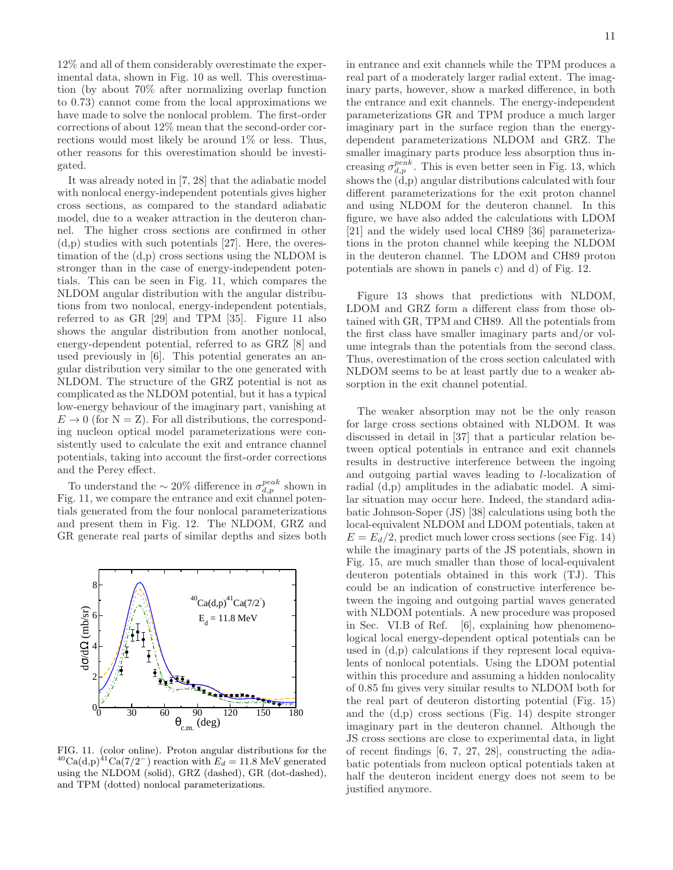12% and all of them considerably overestimate the experimental data, shown in Fig. 10 as well. This overestimation (by about 70% after normalizing overlap function to 0.73) cannot come from the local approximations we have made to solve the nonlocal problem. The first-order corrections of about 12% mean that the second-order corrections would most likely be around 1% or less. Thus, other reasons for this overestimation should be investigated.

It was already noted in [7, 28] that the adiabatic model with nonlocal energy-independent potentials gives higher cross sections, as compared to the standard adiabatic model, due to a weaker attraction in the deuteron channel. The higher cross sections are confirmed in other (d,p) studies with such potentials [27]. Here, the overestimation of the (d,p) cross sections using the NLDOM is stronger than in the case of energy-independent potentials. This can be seen in Fig. 11, which compares the NLDOM angular distribution with the angular distributions from two nonlocal, energy-independent potentials, referred to as GR [29] and TPM [35]. Figure 11 also shows the angular distribution from another nonlocal, energy-dependent potential, referred to as GRZ [8] and used previously in [6]. This potential generates an angular distribution very similar to the one generated with NLDOM. The structure of the GRZ potential is not as complicated as the NLDOM potential, but it has a typical low-energy behaviour of the imaginary part, vanishing at  $E \to 0$  (for  $N = Z$ ). For all distributions, the corresponding nucleon optical model parameterizations were consistently used to calculate the exit and entrance channel potentials, taking into account the first-order corrections and the Perey effect.

To understand the  $\sim 20\%$  difference in  $\sigma_{d,p}^{peak}$  shown in Fig. 11, we compare the entrance and exit channel potentials generated from the four nonlocal parameterizations and present them in Fig. 12. The NLDOM, GRZ and GR generate real parts of similar depths and sizes both



FIG. 11. (color online). Proton angular distributions for the  $^{40}Ca(d,p)^{41}Ca(7/2^-)$  reaction with  $E_d = 11.8$  MeV generated using the NLDOM (solid), GRZ (dashed), GR (dot-dashed), and TPM (dotted) nonlocal parameterizations.

in entrance and exit channels while the TPM produces a real part of a moderately larger radial extent. The imaginary parts, however, show a marked difference, in both the entrance and exit channels. The energy-independent parameterizations GR and TPM produce a much larger imaginary part in the surface region than the energydependent parameterizations NLDOM and GRZ. The smaller imaginary parts produce less absorption thus increasing  $\sigma_{d,p}^{peak}$ . This is even better seen in Fig. 13, which shows the (d,p) angular distributions calculated with four different parameterizations for the exit proton channel and using NLDOM for the deuteron channel. In this figure, we have also added the calculations with LDOM [21] and the widely used local CH89 [36] parameterizations in the proton channel while keeping the NLDOM in the deuteron channel. The LDOM and CH89 proton potentials are shown in panels c) and d) of Fig. 12.

Figure 13 shows that predictions with NLDOM, LDOM and GRZ form a different class from those obtained with GR, TPM and CH89. All the potentials from the first class have smaller imaginary parts and/or volume integrals than the potentials from the second class. Thus, overestimation of the cross section calculated with NLDOM seems to be at least partly due to a weaker absorption in the exit channel potential.

The weaker absorption may not be the only reason for large cross sections obtained with NLDOM. It was discussed in detail in [37] that a particular relation between optical potentials in entrance and exit channels results in destructive interference between the ingoing and outgoing partial waves leading to l-localization of radial (d,p) amplitudes in the adiabatic model. A similar situation may occur here. Indeed, the standard adiabatic Johnson-Soper (JS) [38] calculations using both the local-equivalent NLDOM and LDOM potentials, taken at  $E = E_d/2$ , predict much lower cross sections (see Fig. 14) while the imaginary parts of the JS potentials, shown in Fig. 15, are much smaller than those of local-equivalent deuteron potentials obtained in this work (TJ). This could be an indication of constructive interference between the ingoing and outgoing partial waves generated with NLDOM potentials. A new procedure was proposed in Sec. VI.B of Ref. [6], explaining how phenomenological local energy-dependent optical potentials can be used in (d,p) calculations if they represent local equivalents of nonlocal potentials. Using the LDOM potential within this procedure and assuming a hidden nonlocality of 0.85 fm gives very similar results to NLDOM both for the real part of deuteron distorting potential (Fig. 15) and the (d,p) cross sections (Fig. 14) despite stronger imaginary part in the deuteron channel. Although the JS cross sections are close to experimental data, in light of recent findings [6, 7, 27, 28], constructing the adiabatic potentials from nucleon optical potentials taken at half the deuteron incident energy does not seem to be justified anymore.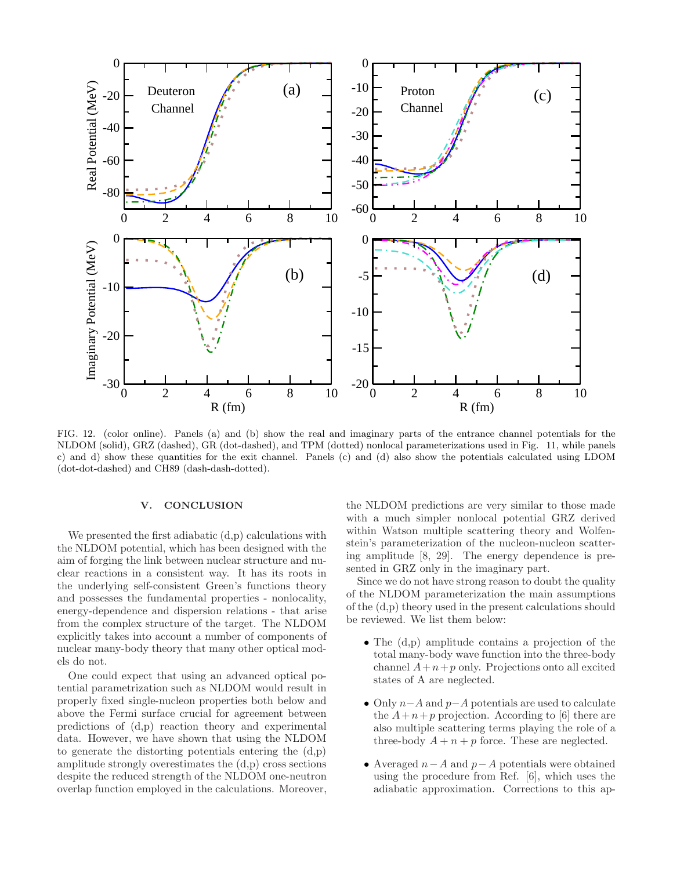

FIG. 12. (color online). Panels (a) and (b) show the real and imaginary parts of the entrance channel potentials for the NLDOM (solid), GRZ (dashed), GR (dot-dashed), and TPM (dotted) nonlocal parameterizations used in Fig. 11, while panels c) and d) show these quantities for the exit channel. Panels (c) and (d) also show the potentials calculated using LDOM (dot-dot-dashed) and CH89 (dash-dash-dotted).

### V. CONCLUSION

We presented the first adiabatic  $(d,p)$  calculations with the NLDOM potential, which has been designed with the aim of forging the link between nuclear structure and nuclear reactions in a consistent way. It has its roots in the underlying self-consistent Green's functions theory and possesses the fundamental properties - nonlocality, energy-dependence and dispersion relations - that arise from the complex structure of the target. The NLDOM explicitly takes into account a number of components of nuclear many-body theory that many other optical models do not.

One could expect that using an advanced optical potential parametrization such as NLDOM would result in properly fixed single-nucleon properties both below and above the Fermi surface crucial for agreement between predictions of (d,p) reaction theory and experimental data. However, we have shown that using the NLDOM to generate the distorting potentials entering the (d,p) amplitude strongly overestimates the (d,p) cross sections despite the reduced strength of the NLDOM one-neutron overlap function employed in the calculations. Moreover, the NLDOM predictions are very similar to those made with a much simpler nonlocal potential GRZ derived within Watson multiple scattering theory and Wolfenstein's parameterization of the nucleon-nucleon scattering amplitude [8, 29]. The energy dependence is presented in GRZ only in the imaginary part.

Since we do not have strong reason to doubt the quality of the NLDOM parameterization the main assumptions of the (d,p) theory used in the present calculations should be reviewed. We list them below:

- The  $(d,p)$  amplitude contains a projection of the total many-body wave function into the three-body channel  $A+n+p$  only. Projections onto all excited states of A are neglected.
- Only  $n-A$  and  $p-A$  potentials are used to calculate the  $A+n+p$  projection. According to [6] there are also multiple scattering terms playing the role of a three-body  $A + n + p$  force. These are neglected.
- Averaged  $n-A$  and  $p-A$  potentials were obtained using the procedure from Ref. [6], which uses the adiabatic approximation. Corrections to this ap-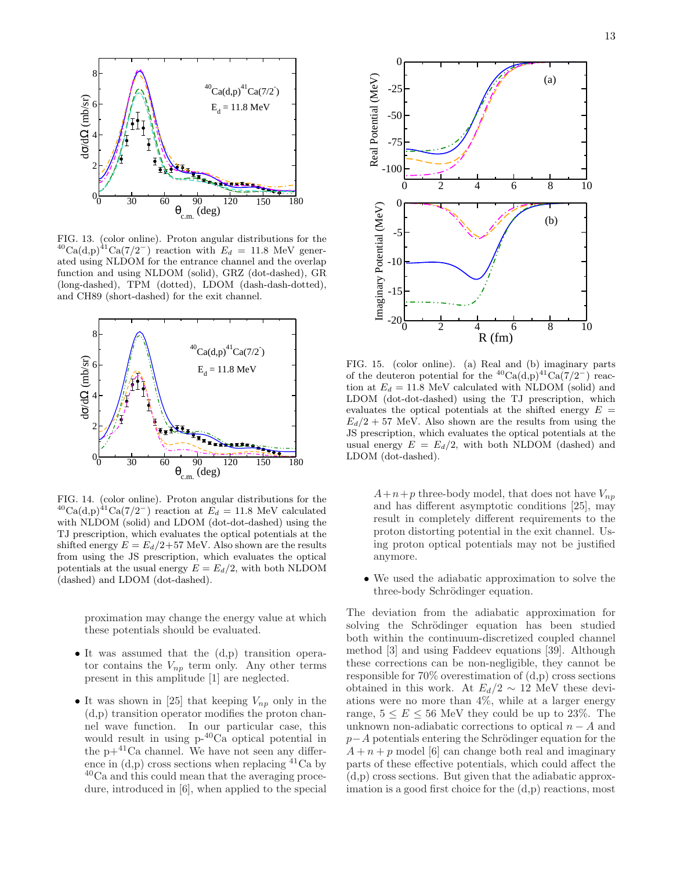

FIG. 13. (color online). Proton angular distributions for the  $^{40}Ca(d,p)^{41}Ca(7/2^-)$  reaction with  $E_d = 11.8$  MeV generated using NLDOM for the entrance channel and the overlap function and using NLDOM (solid), GRZ (dot-dashed), GR (long-dashed), TPM (dotted), LDOM (dash-dash-dotted), and CH89 (short-dashed) for the exit channel.



FIG. 14. (color online). Proton angular distributions for the  $^{40}Ca(d,p)^{41}Ca(7/2^-)$  reaction at  $E_d = 11.8$  MeV calculated with NLDOM (solid) and LDOM (dot-dot-dashed) using the TJ prescription, which evaluates the optical potentials at the shifted energy  $E = E_d/2+57$  MeV. Also shown are the results from using the JS prescription, which evaluates the optical potentials at the usual energy  $E = E_d/2$ , with both NLDOM (dashed) and LDOM (dot-dashed).

proximation may change the energy value at which these potentials should be evaluated.

- It was assumed that the (d,p) transition operator contains the  $V_{np}$  term only. Any other terms present in this amplitude [1] are neglected.
- It was shown in [25] that keeping  $V_{np}$  only in the (d,p) transition operator modifies the proton channel wave function. In our particular case, this would result in using p-40Ca optical potential in the  $p+41$ Ca channel. We have not seen any difference in  $(d,p)$  cross sections when replacing  $^{41}Ca$  by <sup>40</sup>Ca and this could mean that the averaging procedure, introduced in [6], when applied to the special



FIG. 15. (color online). (a) Real and (b) imaginary parts of the deuteron potential for the <sup>40</sup>Ca(d,p)<sup>41</sup>Ca(7/2<sup>-</sup>) reaction at  $E_d = 11.8$  MeV calculated with NLDOM (solid) and LDOM (dot-dot-dashed) using the TJ prescription, which evaluates the optical potentials at the shifted energy  $E =$  $E_d/2 + 57$  MeV. Also shown are the results from using the JS prescription, which evaluates the optical potentials at the usual energy  $E = E_d/2$ , with both NLDOM (dashed) and LDOM (dot-dashed).

 $A+n+p$  three-body model, that does not have  $V_{np}$ and has different asymptotic conditions [25], may result in completely different requirements to the proton distorting potential in the exit channel. Using proton optical potentials may not be justified anymore.

• We used the adiabatic approximation to solve the three-body Schrödinger equation.

The deviation from the adiabatic approximation for solving the Schrödinger equation has been studied both within the continuum-discretized coupled channel method [3] and using Faddeev equations [39]. Although these corrections can be non-negligible, they cannot be responsible for 70% overestimation of (d,p) cross sections obtained in this work. At  $E_d/2 \sim 12$  MeV these deviations were no more than 4%, while at a larger energy range,  $5 \le E \le 56$  MeV they could be up to 23%. The unknown non-adiabatic corrections to optical  $n - A$  and  $p-A$  potentials entering the Schrödinger equation for the  $A + n + p$  model [6] can change both real and imaginary parts of these effective potentials, which could affect the (d,p) cross sections. But given that the adiabatic approximation is a good first choice for the (d,p) reactions, most